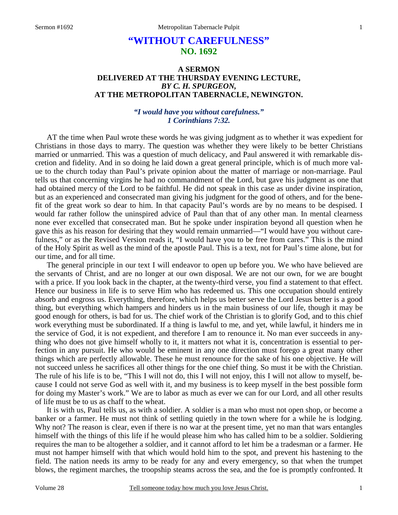# **"WITHOUT CAREFULNESS" NO. 1692**

### **A SERMON DELIVERED AT THE THURSDAY EVENING LECTURE,**  *BY C. H. SPURGEON,*  **AT THE METROPOLITAN TABERNACLE, NEWINGTON.**

### *"I would have you without carefulness." 1 Corinthians 7:32.*

AT the time when Paul wrote these words he was giving judgment as to whether it was expedient for Christians in those days to marry. The question was whether they were likely to be better Christians married or unmarried. This was a question of much delicacy, and Paul answered it with remarkable discretion and fidelity. And in so doing he laid down a great general principle, which is of much more value to the church today than Paul's private opinion about the matter of marriage or non-marriage. Paul tells us that concerning virgins he had no commandment of the Lord, but gave his judgment as one that had obtained mercy of the Lord to be faithful. He did not speak in this case as under divine inspiration, but as an experienced and consecrated man giving his judgment for the good of others, and for the benefit of the great work so dear to him. In that capacity Paul's words are by no means to be despised. I would far rather follow the uninspired advice of Paul than that of any other man. In mental clearness none ever excelled that consecrated man. But he spoke under inspiration beyond all question when he gave this as his reason for desiring that they would remain unmarried—"I would have you without carefulness," or as the Revised Version reads it, "I would have you to be free from cares." This is the mind of the Holy Spirit as well as the mind of the apostle Paul. This is a text, not for Paul's time alone, but for our time, and for all time.

 The general principle in our text I will endeavor to open up before you. We who have believed are the servants of Christ, and are no longer at our own disposal. We are not our own, for we are bought with a price. If you look back in the chapter, at the twenty-third verse, you find a statement to that effect. Hence our business in life is to serve Him who has redeemed us. This one occupation should entirely absorb and engross us. Everything, therefore, which helps us better serve the Lord Jesus better is a good thing, but everything which hampers and hinders us in the main business of our life, though it may be good enough for others, is bad for us. The chief work of the Christian is to glorify God, and to this chief work everything must be subordinated. If a thing is lawful to me, and yet, while lawful, it hinders me in the service of God, it is not expedient, and therefore I am to renounce it. No man ever succeeds in anything who does not give himself wholly to it, it matters not what it is, concentration is essential to perfection in any pursuit. He who would be eminent in any one direction must forego a great many other things which are perfectly allowable. These he must renounce for the sake of his one objective. He will not succeed unless he sacrifices all other things for the one chief thing. So must it be with the Christian. The rule of his life is to be, "This I will not do, this I will not enjoy, this I will not allow to myself, because I could not serve God as well with it, and my business is to keep myself in the best possible form for doing my Master's work." We are to labor as much as ever we can for our Lord, and all other results of life must be to us as chaff to the wheat.

 It is with us, Paul tells us, as with a soldier. A soldier is a man who must not open shop, or become a banker or a farmer. He must not think of settling quietly in the town where for a while he is lodging. Why not? The reason is clear, even if there is no war at the present time, yet no man that wars entangles himself with the things of this life if he would please him who has called him to be a soldier. Soldiering requires the man to be altogether a soldier, and it cannot afford to let him be a tradesman or a farmer. He must not hamper himself with that which would hold him to the spot, and prevent his hastening to the field. The nation needs its army to be ready for any and every emergency, so that when the trumpet blows, the regiment marches, the troopship steams across the sea, and the foe is promptly confronted. It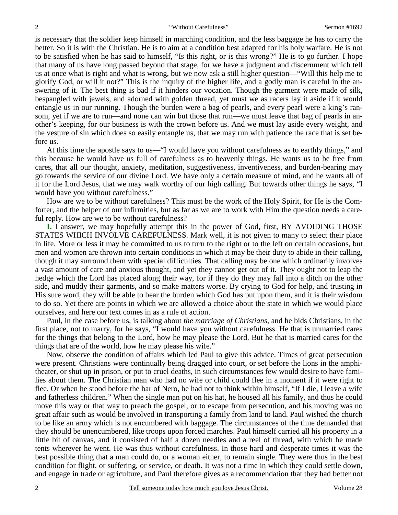is necessary that the soldier keep himself in marching condition, and the less baggage he has to carry the better. So it is with the Christian. He is to aim at a condition best adapted for his holy warfare. He is not to be satisfied when he has said to himself, "Is this right, or is this wrong?" He is to go further. I hope that many of us have long passed beyond that stage, for we have a judgment and discernment which tell us at once what is right and what is wrong, but we now ask a still higher question—"Will this help me to glorify God, or will it not?" This is the inquiry of the higher life, and a godly man is careful in the answering of it. The best thing is bad if it hinders our vocation. Though the garment were made of silk, bespangled with jewels, and adorned with golden thread, yet must we as racers lay it aside if it would entangle us in our running. Though the burden were a bag of pearls, and every pearl were a king's ransom, yet if we are to run—and none can win but those that run—we must leave that bag of pearls in another's keeping, for our business is with the crown before us. And we must lay aside every weight, and the vesture of sin which does so easily entangle us, that we may run with patience the race that is set before us.

 At this time the apostle says to us—"I would have you without carefulness as to earthly things," and this because he would have us full of carefulness as to heavenly things. He wants us to be free from cares, that all our thought, anxiety, meditation, suggestiveness, inventiveness, and burden-bearing may go towards the service of our divine Lord. We have only a certain measure of mind, and he wants all of it for the Lord Jesus, that we may walk worthy of our high calling. But towards other things he says, "I would have you without carefulness."

 How are we to be without carefulness? This must be the work of the Holy Spirit, for He is the Comforter, and the helper of our infirmities, but as far as we are to work with Him the question needs a careful reply. How are we to be without carefulness?

**I.** I answer, we may hopefully attempt this in the power of God, first, BY AVOIDING THOSE STATES WHICH INVOLVE CAREFULNESS. Mark well, it is not given to many to select their place in life. More or less it may be committed to us to turn to the right or to the left on certain occasions, but men and women are thrown into certain conditions in which it may be their duty to abide in their calling, though it may surround them with special difficulties. That calling may be one which ordinarily involves a vast amount of care and anxious thought, and yet they cannot get out of it. They ought not to leap the hedge which the Lord has placed along their way, for if they do they may fall into a ditch on the other side, and muddy their garments, and so make matters worse. By crying to God for help, and trusting in His sure word, they will be able to bear the burden which God has put upon them, and it is their wisdom to do so. Yet there are points in which we are allowed a choice about the state in which we would place ourselves, and here our text comes in as a rule of action.

 Paul, in the case before us, is talking about *the marriage of Christians,* and he bids Christians, in the first place, not to marry, for he says, "I would have you without carefulness. He that is unmarried cares for the things that belong to the Lord, how he may please the Lord. But he that is married cares for the things that are of the world, how he may please his wife."

 Now, observe the condition of affairs which led Paul to give this advice. Times of great persecution were present. Christians were continually being dragged into court, or set before the lions in the amphitheater, or shut up in prison, or put to cruel deaths, in such circumstances few would desire to have families about them. The Christian man who had no wife or child could flee in a moment if it were right to flee. Or when he stood before the bar of Nero, he had not to think within himself, "If I die, I leave a wife and fatherless children." When the single man put on his hat, he housed all his family, and thus he could move this way or that way to preach the gospel, or to escape from persecution, and his moving was no great affair such as would be involved in transporting a family from land to land. Paul wished the church to be like an army which is not encumbered with baggage. The circumstances of the time demanded that they should be unencumbered, like troops upon forced marches. Paul himself carried all his property in a little bit of canvas, and it consisted of half a dozen needles and a reel of thread, with which he made tents wherever he went. He was thus without carefulness. In those hard and desperate times it was the best possible thing that a man could do, or a woman either, to remain single. They were thus in the best condition for flight, or suffering, or service, or death. It was not a time in which they could settle down, and engage in trade or agriculture, and Paul therefore gives as a recommendation that they had better not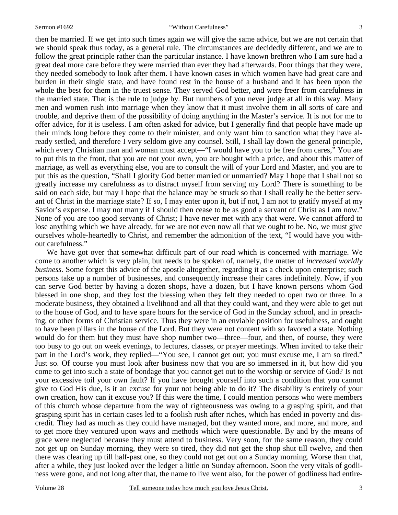then be married. If we get into such times again we will give the same advice, but we are not certain that we should speak thus today, as a general rule. The circumstances are decidedly different, and we are to follow the great principle rather than the particular instance. I have known brethren who I am sure had a great deal more care before they were married than ever they had afterwards. Poor things that they were, they needed somebody to look after them. I have known cases in which women have had great care and burden in their single state, and have found rest in the house of a husband and it has been upon the whole the best for them in the truest sense. They served God better, and were freer from carefulness in the married state. That is the rule to judge by. But numbers of you never judge at all in this way. Many men and women rush into marriage when they know that it must involve them in all sorts of care and trouble, and deprive them of the possibility of doing anything in the Master's service. It is not for me to offer advice, for it is useless. I am often asked for advice, but I generally find that people have made up their minds long before they come to their minister, and only want him to sanction what they have already settled, and therefore I very seldom give any counsel. Still, I shall lay down the general principle, which every Christian man and woman must accept—"I would have you to be free from cares," You are to put this to the front, that you are not your own, you are bought with a price, and about this matter of marriage, as well as everything else, you are to consult the will of your Lord and Master, and you are to put this as the question, "Shall I glorify God better married or unmarried? May I hope that I shall not so greatly increase my carefulness as to distract myself from serving my Lord? There is something to be said on each side, but may I hope that the balance may be struck so that I shall really be the better servant of Christ in the marriage state? If so, I may enter upon it, but if not, I am not to gratify myself at my Savior's expense. I may not marry if I should then cease to be as good a servant of Christ as I am now." None of you are too good servants of Christ; I have never met with any that were. We cannot afford to lose anything which we have already, for we are not even now all that we ought to be. No, we must give ourselves whole-heartedly to Christ, and remember the admonition of the text, "I would have you without carefulness."

 We have got over that somewhat difficult part of our road which is concerned with marriage. We come to another which is very plain, but needs to be spoken of, namely, the matter of *increased worldly business.* Some forget this advice of the apostle altogether, regarding it as a check upon enterprise; such persons take up a number of businesses, and consequently increase their cares indefinitely. Now, if you can serve God better by having a dozen shops, have a dozen, but I have known persons whom God blessed in one shop, and they lost the blessing when they felt they needed to open two or three. In a moderate business, they obtained a livelihood and all that they could want, and they were able to get out to the house of God, and to have spare hours for the service of God in the Sunday school, and in preaching, or other forms of Christian service. Thus they were in an enviable position for usefulness, and ought to have been pillars in the house of the Lord. But they were not content with so favored a state. Nothing would do for them but they must have shop number two—three—four, and then, of course, they were too busy to go out on week evenings, to lectures, classes, or prayer meetings. When invited to take their part in the Lord's work, they replied—"You see, I cannot get out; you must excuse me, I am so tired." Just so. Of course you must look after business now that you are so immersed in it, but how did you come to get into such a state of bondage that you cannot get out to the worship or service of God? Is not your excessive toil your own fault? If you have brought yourself into such a condition that you cannot give to God His due, is it an excuse for your not being able to do it? The disability is entirely of your own creation, how can it excuse you? If this were the time, I could mention persons who were members of this church whose departure from the way of righteousness was owing to a grasping spirit, and that grasping spirit has in certain cases led to a foolish rush after riches, which has ended in poverty and discredit. They had as much as they could have managed, but they wanted more, and more, and more, and to get more they ventured upon ways and methods which were questionable. By and by the means of grace were neglected because they must attend to business. Very soon, for the same reason, they could not get up on Sunday morning, they were so tired, they did not get the shop shut till twelve, and then there was clearing up till half-past one, so they could not get out on a Sunday morning. Worse than that, after a while, they just looked over the ledger a little on Sunday afternoon. Soon the very vitals of godliness were gone, and not long after that, the name to live went also, for the power of godliness had entire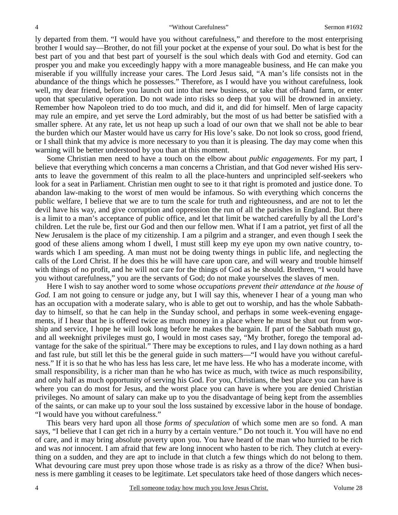ly departed from them. "I would have you without carefulness," and therefore to the most enterprising brother I would say—Brother, do not fill your pocket at the expense of your soul. Do what is best for the best part of you and that best part of yourself is the soul which deals with God and eternity. God can prosper you and make you exceedingly happy with a more manageable business, and He can make you miserable if you willfully increase your cares. The Lord Jesus said, "A man's life consists not in the abundance of the things which he possesses." Therefore, as I would have you without carefulness, look well, my dear friend, before you launch out into that new business, or take that off-hand farm, or enter upon that speculative operation. Do not wade into risks so deep that you will be drowned in anxiety. Remember how Napoleon tried to do too much, and did it, and did for himself. Men of large capacity may rule an empire, and yet serve the Lord admirably, but the most of us had better be satisfied with a smaller sphere. At any rate, let us not heap up such a load of our own that we shall not be able to bear the burden which our Master would have us carry for His love's sake. Do not look so cross, good friend, or I shall think that my advice is more necessary to you than it is pleasing. The day may come when this warning will be better understood by you than at this moment.

 Some Christian men need to have a touch on the elbow about *public engagements*. For my part, I believe that everything which concerns a man concerns a Christian, and that God never wished His servants to leave the government of this realm to all the place-hunters and unprincipled self-seekers who look for a seat in Parliament. Christian men ought to see to it that right is promoted and justice done. To abandon law-making to the worst of men would be infamous. So with everything which concerns the public welfare, I believe that we are to turn the scale for truth and righteousness, and are not to let the devil have his way, and give corruption and oppression the run of all the parishes in England. But there is a limit to a man's acceptance of public office, and let that limit be watched carefully by all the Lord's children. Let the rule be, first our God and then our fellow men. What if I am a patriot, yet first of all the New Jerusalem is the place of my citizenship. I am a pilgrim and a stranger, and even though I seek the good of these aliens among whom I dwell, I must still keep my eye upon my own native country, towards which I am speeding. A man must not be doing twenty things in public life, and neglecting the calls of the Lord Christ. If he does this he will have care upon care, and will weary and trouble himself with things of no profit, and he will not care for the things of God as he should. Brethren, "I would have you without carefulness," you are the servants of God; do not make yourselves the slaves of men.

 Here I wish to say another word to some whose *occupations prevent their attendance at the house of God.* I am not going to censure or judge any, but I will say this, whenever I hear of a young man who has an occupation with a moderate salary, who is able to get out to worship, and has the whole Sabbathday to himself, so that he can help in the Sunday school, and perhaps in some week-evening engagements, if I hear that he is offered twice as much money in a place where he must be shut out from worship and service, I hope he will look long before he makes the bargain. If part of the Sabbath must go, and all weeknight privileges must go, I would in most cases say, "My brother, forego the temporal advantage for the sake of the spiritual." There may be exceptions to rules, and I lay down nothing as a hard and fast rule, but still let this be the general guide in such matters—"I would have you without carefulness." If it is so that he who has less has less care, let me have less. He who has a moderate income, with small responsibility, is a richer man than he who has twice as much, with twice as much responsibility, and only half as much opportunity of serving his God. For you, Christians, the best place you can have is where you can do most for Jesus, and the worst place you can have is where you are denied Christian privileges. No amount of salary can make up to you the disadvantage of being kept from the assemblies of the saints, or can make up to your soul the loss sustained by excessive labor in the house of bondage. "I would have you without carefulness."

 This bears very hard upon all those *forms of speculation* of which some men are so fond. A man says, "I believe that I can get rich in a hurry by a certain venture." Do not touch it. You will have no end of care, and it may bring absolute poverty upon you. You have heard of the man who hurried to be rich and was *not* innocent. I am afraid that few are long innocent who hasten to be rich. They clutch at everything on a sudden, and they are apt to include in that clutch a few things which do not belong to them. What devouring care must prey upon those whose trade is as risky as a throw of the dice? When business is mere gambling it ceases to be legitimate. Let speculators take heed of those dangers which neces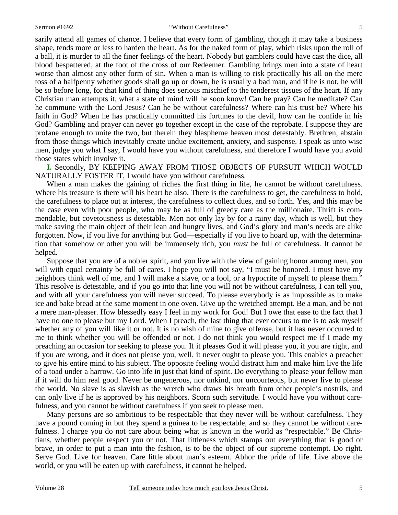sarily attend all games of chance. I believe that every form of gambling, though it may take a business shape, tends more or less to harden the heart. As for the naked form of play, which risks upon the roll of a ball, it is murder to all the finer feelings of the heart. Nobody but gamblers could have cast the dice, all blood bespattered, at the foot of the cross of our Redeemer. Gambling brings men into a state of heart worse than almost any other form of sin. When a man is willing to risk practically his all on the mere toss of a halfpenny whether goods shall go up or down, he is usually a bad man, and if he is not, he will be so before long, for that kind of thing does serious mischief to the tenderest tissues of the heart. If any Christian man attempts it, what a state of mind will he soon know! Can he pray? Can he meditate? Can he commune with the Lord Jesus? Can he be without carefulness? Where can his trust be? Where his faith in God? When he has practically committed his fortunes to the devil, how can he confide in his God? Gambling and prayer can never go together except in the case of the reprobate. I suppose they are profane enough to unite the two, but therein they blaspheme heaven most detestably. Brethren, abstain from those things which inevitably create undue excitement, anxiety, and suspense. I speak as unto wise men, judge you what I say, I would have you without carefulness, and therefore I would have you avoid those states which involve it.

 **I.** Secondly, BY KEEPING AWAY FROM THOSE OBJECTS OF PURSUIT WHICH WOULD NATURALLY FOSTER IT, I would have you without carefulness.

 When a man makes the gaining of riches the first thing in life, he cannot be without carefulness. Where his treasure is there will his heart be also. There is the carefulness to get, the carefulness to hold, the carefulness to place out at interest, the carefulness to collect dues, and so forth. Yes, and this may be the case even with poor people, who may be as full of greedy care as the millionaire. Thrift is commendable, but covetousness is detestable. Men not only lay by for a rainy day, which is well, but they make saving the main object of their lean and hungry lives, and God's glory and man's needs are alike forgotten. Now, if you live for anything but God—especially if you live to hoard up, with the determination that somehow or other you will be immensely rich, you *must* be full of carefulness. It cannot be helped.

 Suppose that you are of a nobler spirit, and you live with the view of gaining honor among men, you will with equal certainty be full of cares. I hope you will not say, "I must be honored. I must have my neighbors think well of me, and I will make a slave, or a fool, or a hypocrite of myself to please them." This resolve is detestable, and if you go into that line you will not be without carefulness, I can tell you, and with all your carefulness you will never succeed. To please everybody is as impossible as to make ice and bake bread at the same moment in one oven. Give up the wretched attempt. Be a man, and be not a mere man-pleaser. How blessedly easy I feel in my work for God! But I owe that ease to the fact that I have no one to please but my Lord. When I preach, the last thing that ever occurs to me is to ask myself whether any of you will like it or not. It is no wish of mine to give offense, but it has never occurred to me to think whether you will be offended or not. I do not think you would respect me if I made my preaching an occasion for seeking to please you. If it pleases God it will please you, if you are right, and if you are wrong, and it does not please you, well, it never ought to please you. This enables a preacher to give his entire mind to his subject. The opposite feeling would distract him and make him live the life of a toad under a harrow. Go into life in just that kind of spirit. Do everything to please your fellow man if it will do him real good. Never be ungenerous, nor unkind, nor uncourteous, but never live to please the world. No slave is as slavish as the wretch who draws his breath from other people's nostrils, and can only live if he is approved by his neighbors. Scorn such servitude. I would have you without carefulness, and you cannot be without carefulness if you seek to please men.

 Many persons are so ambitious to be respectable that they never will be without carefulness. They have a pound coming in but they spend a guinea to be respectable, and so they cannot be without carefulness. I charge you do not care about being what is known in the world as "respectable." Be Christians, whether people respect you or not. That littleness which stamps out everything that is good or brave, in order to put a man into the fashion, is to be the object of our supreme contempt. Do right. Serve God. Live for heaven. Care little about man's esteem. Abhor the pride of life. Live above the world, or you will be eaten up with carefulness, it cannot be helped.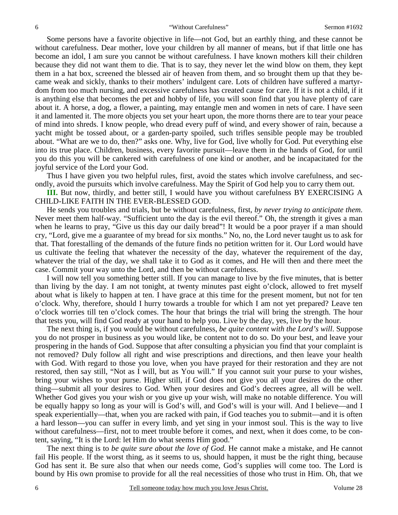Some persons have a favorite objective in life—not God, but an earthly thing, and these cannot be without carefulness. Dear mother, love your children by all manner of means, but if that little one has become an idol, I am sure you cannot be without carefulness. I have known mothers kill their children because they did not want them to die. That is to say, they never let the wind blow on them, they kept them in a hat box, screened the blessed air of heaven from them, and so brought them up that they became weak and sickly, thanks to their mothers' indulgent care. Lots of children have suffered a martyrdom from too much nursing, and excessive carefulness has created cause for care. If it is not a child, if it is anything else that becomes the pet and hobby of life, you will soon find that you have plenty of care about it. A horse, a dog, a flower, a painting, may entangle men and women in nets of care. I have seen it and lamented it. The more objects you set your heart upon, the more thorns there are to tear your peace of mind into shreds. I know people, who dread every puff of wind, and every shower of rain, because a yacht might be tossed about, or a garden-party spoiled, such trifles sensible people may be troubled about. "What are we to do, then?" asks one. Why, live for God, live wholly for God. Put everything else into its true place. Children, business, every favorite pursuit—leave them in the hands of God, for until you do this you will be cankered with carefulness of one kind or another, and be incapacitated for the joyful service of the Lord your God.

 Thus I have given you two helpful rules, first, avoid the states which involve carefulness, and secondly, avoid the pursuits which involve carefulness. May the Spirit of God help you to carry them out.

**III.** But now, thirdly, and better still, I would have you without carefulness BY EXERCISING A CHILD-LIKE FAITH IN THE EVER-BLESSED GOD.

 He sends you troubles and trials, but be without carefulness, first, *by never trying to anticipate them*. Never meet them half-way. "Sufficient unto the day is the evil thereof." Oh, the strength it gives a man when he learns to pray, "Give us this day our daily bread"! It would be a poor prayer if a man should cry, "Lord, give me a guarantee of my bread for six months." No, no, the Lord never taught us to ask for that. That forestalling of the demands of the future finds no petition written for it. Our Lord would have us cultivate the feeling that whatever the necessity of the day, whatever the requirement of the day, whatever the trial of the day, we shall take it to God as it comes, and He will then and there meet the case. Commit your way unto the Lord, and then be without carefulness.

 I will now tell you something better still. If you can manage to live by the five minutes, that is better than living by the day. I am not tonight, at twenty minutes past eight o'clock, allowed to fret myself about what is likely to happen at ten. I have grace at this time for the present moment, but not for ten o'clock. Why, therefore, should I hurry towards a trouble for which I am not yet prepared? Leave ten o'clock worries till ten o'clock comes. The hour that brings the trial will bring the strength. The hour that tests you, will find God ready at your hand to help you. Live by the day, yes, live by the hour.

 The next thing is, if you would be without carefulness, *be quite content with the Lord's will*. Suppose you do not prosper in business as you would like, be content not to do so. Do your best, and leave your prospering in the hands of God. Suppose that after consulting a physician you find that your complaint is not removed? Duly follow all right and wise prescriptions and directions, and then leave your health with God. With regard to those you love, when you have prayed for their restoration and they are not restored, then say still, "Not as I will, but as You will." If you cannot suit your purse to your wishes, bring your wishes to your purse. Higher still, if God does not give you all your desires do the other thing—submit all your desires to God. When your desires and God's decrees agree, all will be well. Whether God gives you your wish or you give up your wish, will make no notable difference. You will be equally happy so long as your will is God's will, and God's will is your will. And I believe—and I speak experientially—that, when you are racked with pain, if God teaches you to submit—and it is often a hard lesson—you can suffer in every limb, and yet sing in your inmost soul. This is the way to live without carefulness—first, not to meet trouble before it comes, and next, when it does come, to be content, saying, "It is the Lord: let Him do what seems Him good."

 The next thing is to *be quite sure about the love of God*. He cannot make a mistake, and He cannot fail His people. If the worst thing, as it seems to us, should happen, it must be the right thing, because God has sent it. Be sure also that when our needs come, God's supplies will come too. The Lord is bound by His own promise to provide for all the real necessities of those who trust in Him. Oh, that we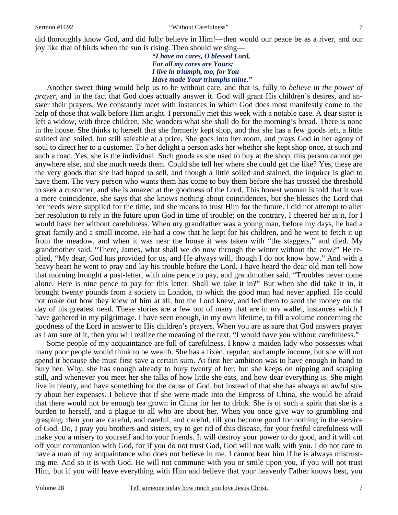#### Sermon #1692 **The Contract Carefulness**  $\gamma$  without Carefulness  $\gamma$

did thoroughly know God, and did fully believe in Him!—then would our peace be as a river, and our joy like that of birds when the sun is rising. Then should we sing—

*"I have no cares, O blessed Lord, For all my cares are Yours; I live in triumph, too, for You Have made Your triumphs mine."* 

 Another sweet thing would help us to be without care, and that is, fully to *believe in the power of prayer*, and in the fact that God does actually answer it. God will grant His children's desires, and answer their prayers. We constantly meet with instances in which God does most manifestly come to the help of those that walk before Him aright. I personally met this week with a notable case. A dear sister is left a widow, with three children. She wonders what she shall do for the morning's bread. There is none in the house. She thinks to herself that she formerly kept shop, and that she has a few goods left, a little stained and soiled, but still saleable at a price. She goes into her room, and prays God in her agony of soul to direct her to a customer. To her delight a person asks her whether she kept shop once, at such and such a road. Yes, she is the individual. Such goods as she used to buy at the shop, this person cannot get anywhere else, and she much needs them. Could she tell her where she could get the like? Yes, these are the very goods that she had hoped to sell, and though a little soiled and stained, the inquirer is glad to have them. The very person who wants them has come to buy them before she has crossed the threshold to seek a customer, and she is amazed at the goodness of the Lord. This honest woman is told that it was a mere coincidence, she says that she knows nothing about coincidences, but she blesses the Lord that her needs were supplied for the time, and she means to trust Him for the future. I did not attempt to alter her resolution to rely in the future upon God in time of trouble; on the contrary, I cheered her in it, for I would have her without carefulness. When my grandfather was a young man, before my days, he had a great family and a small income. He had a cow that he kept for his children, and he went to fetch it up from the meadow, and when it was near the house it was taken with "the staggers," and died. My grandmother said, "There, James, what shall we do now through the winter without the cow?" He replied, "My dear, God has provided for us, and He always will, though I do not know how." And with a heavy heart he went to pray and lay his trouble before the Lord. I have heard the dear old man tell how that morning brought a post-letter, with nine pence to pay, and grandmother said, "Troubles never come alone. Here is nine pence to pay for this letter. Shall we take it in?" But when she did take it in, it brought twenty pounds from a society in London, to which the good man had never applied. He could not make out how they knew of him at all, but the Lord knew, and led them to send the money on the day of his greatest need. These stories are a few out of many that are in my wallet, instances which I have gathered in my pilgrimage. I have seen enough, in my own lifetime, to fill a volume concerning the goodness of the Lord in answer to His children's prayers. When you are as sure that God answers prayer as I am sure of it, then you will realize the meaning of the text, "I would have you without carefulness."

 Some people of my acquaintance are full of carefulness. I know a maiden lady who possesses what many poor people would think to be wealth. She has a fixed, regular, and ample income, but she will not spend it because she must first save a certain sum. At first her ambition was to have enough in hand to bury her. Why, she has enough already to bury twenty of her, but she keeps on nipping and scraping still, and whenever you meet her she talks of how little she eats, and how dear everything is. She might live in plenty, and have something for the cause of God, but instead of that she has always an awful story about her expenses. I believe that if she were made into the Empress of China, she would be afraid that there would not be enough tea grown in China for her to drink. She is of such a spirit that she is a burden to herself, and a plague to all who are about her. When you once give way to grumbling and grasping, then you are careful, and careful, and careful, till you become good for nothing in the service of God. Do, I pray you brothers and sisters, try to get rid of this disease, for your fretful carefulness will make you a misery to yourself and to your friends. It will destroy your power to do good, and it will cut off your communion with God, for if you do not trust God, God will not walk with you. I do not care to have a man of my acquaintance who does not believe in me. I cannot bear him if he is always mistrusting me. And so it is with God. He will not commune with you or smile upon you, if you will not trust Him, but if you will leave everything with Him and believe that your heavenly Father knows best, you